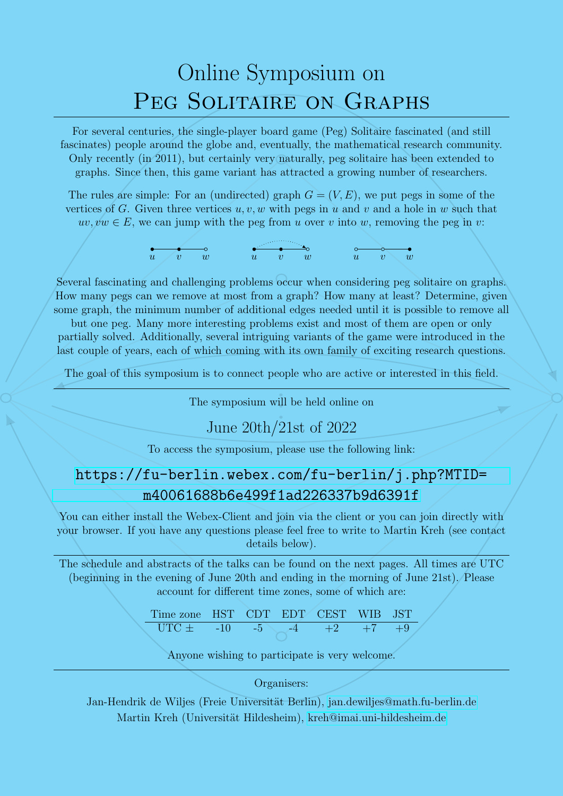# Online Symposium on PEG SOLITAIRE ON GRAPHS

For several centuries, the single-player board game (Peg) Solitaire fascinated (and still fascinates) people around the globe and, eventually, the mathematical research community. Only recently (in 2011), but certainly very naturally, peg solitaire has been extended to graphs. Since then, this game variant has attracted a growing number of researchers.

The rules are simple: For an (undirected) graph  $G = (V, E)$ , we put pegs in some of the vertices of G. Given three vertices  $u, v, w$  with pegs in u and v and a hole in w such that  $uv, vw \in E$ , we can jump with the peg from u over v into w, removing the peg in v:

$$
\overbrace{u \quad v}^{\circ} \quad \overbrace{w}^{\circ} \quad \overbrace{u \quad v}^{\circ} \quad \overbrace{w}^{\circ} \quad \overbrace{u \quad v}^{\circ} \quad \overbrace{w}^{\circ}
$$

Several fascinating and challenging problems occur when considering peg solitaire on graphs. How many pegs can we remove at most from a graph? How many at least? Determine, given some graph, the minimum number of additional edges needed until it is possible to remove all

but one peg. Many more interesting problems exist and most of them are open or only partially solved. Additionally, several intriguing variants of the game were introduced in the last couple of years, each of which coming with its own family of exciting research questions.

The goal of this symposium is to connect people who are active or interested in this field.

90]<br>ill .<br>.<br>.<br>. The symposium will be held online on<br>
U<sub>1122</sub> 20th (21st of 2022)

## June 20th/21st of 2022

To access the symposium, please use the following link:

# [https://fu-berlin.webex.com/fu-berlin/j.php?MTID=](https://fu-berlin.webex.com/fu-berlin/j.php?MTID=m40061688b6e499f1ad226337b9d6391f) [m40061688b6e499f1ad226337b9d6391f](https://fu-berlin.webex.com/fu-berlin/j.php?MTID=m40061688b6e499f1ad226337b9d6391f)

You can either install the Webex-Client and join via the client or you can join directly with your browser. If you have any questions please feel free to write to Martin Kreh (see contact details below).

The schedule and abstracts of the talks can be found on the next pages. All times are UTC (beginning in the evening of June 20th and ending in the morning of June 21st). Please account for different time zones, some of which are:

Time zone HST CDT EDT CEST WIB JST UTC ± -10 -5 -4 +2 +7 +9

Anyone wishing to participate is very welcome.

#### Organisers:

Jan-Hendrik de Wiljes (Freie Universität Berlin), [jan.dewiljes@math.fu-berlin.de](mailto:jan.dewiljes@math.fu-berlin.de) Martin Kreh (Universität Hildesheim), [kreh@imai.uni-hildesheim.de](mailto:kreh@imai.uni-hildesheim.de)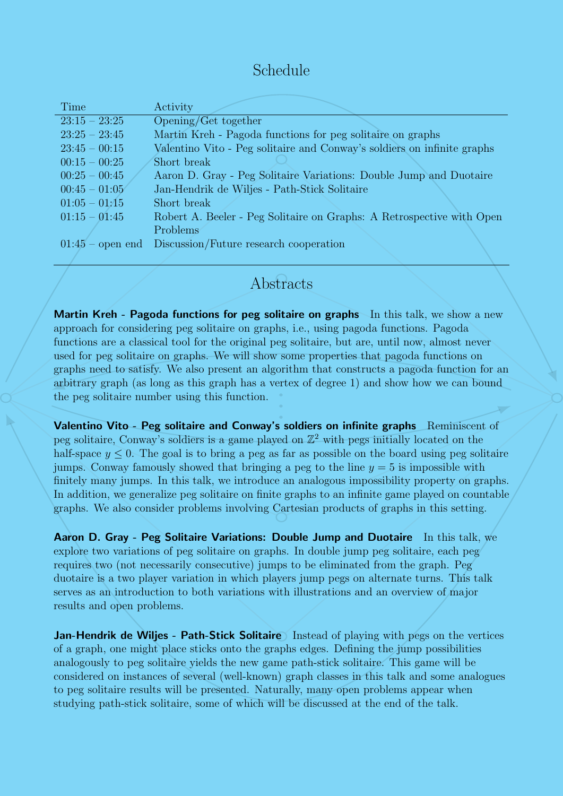# Schedule

| Time            | Activity                                                                |
|-----------------|-------------------------------------------------------------------------|
| $23:15 - 23:25$ | Opening/Get together                                                    |
| $23:25 - 23:45$ | Martin Kreh - Pagoda functions for peg solitaire on graphs              |
| $23:45 - 00:15$ | Valentino Vito - Peg solitaire and Conway's soldiers on infinite graphs |
| $00:15 - 00:25$ | Short break                                                             |
| $00:25 - 00:45$ | Aaron D. Gray - Peg Solitaire Variations: Double Jump and Duotaire      |
| $00:45 - 01:05$ | Jan-Hendrik de Wiljes - Path-Stick Solitaire                            |
| $01:05 - 01:15$ | Short break                                                             |
| $01:15 - 01:45$ | Robert A. Beeler - Peg Solitaire on Graphs: A Retrospective with Open   |
|                 | Problems                                                                |
|                 | $01:45$ – open end Discussion/Future research cooperation               |
|                 |                                                                         |

### Abstracts

or<br>ert<br>. arbitrary graph (as long as this graph has a vertex of degree 1) and show how we can bound<br>the peg solitaire number using this function. Martin Kreh - Pagoda functions for peg solitaire on graphs In this talk, we show a new approach for considering peg solitaire on graphs, i.e., using pagoda functions. Pagoda functions are a classical tool for the original peg solitaire, but are, until now, almost never used for peg solitaire on graphs. We will show some properties that pagoda functions on graphs need to satisfy. We also present an algorithm that constructs a pagoda function for an the peg solitaire number using this function.

the peg solitaire number using this function.<br>**Valentino Vito - Peg solitaire and Conway's soldiers on infinite graphs** Reminiscent of peg solitaire, Conway's soldiers is a game played on  $\mathbb{Z}^2$  with pegs initially located on the half-space  $y \leq 0$ . The goal is to bring a peg as far as possible on the board using peg solitaire jumps. Conway famously showed that bringing a peg to the line  $y = 5$  is impossible with finitely many jumps. In this talk, we introduce an analogous impossibility property on graphs. In addition, we generalize peg solitaire on finite graphs to an infinite game played on countable graphs. We also consider problems involving Cartesian products of graphs in this setting.

Aaron D. Gray - Peg Solitaire Variations: Double Jump and Duotaire In this talk, we explore two variations of peg solitaire on graphs. In double jump peg solitaire, each peg requires two (not necessarily consecutive) jumps to be eliminated from the graph. Peg duotaire is a two player variation in which players jump pegs on alternate turns. This talk serves as an introduction to both variations with illustrations and an overview of major results and open problems.

Jan-Hendrik de Wiljes - Path-Stick Solitaire Instead of playing with pegs on the vertices of a graph, one might place sticks onto the graphs edges. Defining the jump possibilities analogously to peg solitaire yields the new game path-stick solitaire. This game will be considered on instances of several (well-known) graph classes in this talk and some analogues to peg solitaire results will be presented. Naturally, many open problems appear when studying path-stick solitaire, some of which will be discussed at the end of the talk.